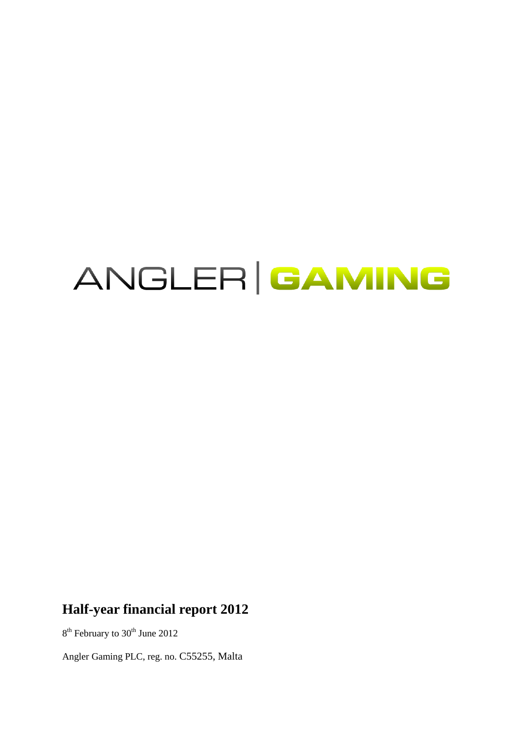# ANGLER GAMING

# **Half-year financial report 2012**

8<sup>th</sup> February to 30<sup>th</sup> June 2012

Angler Gaming PLC, reg. no. C55255, Malta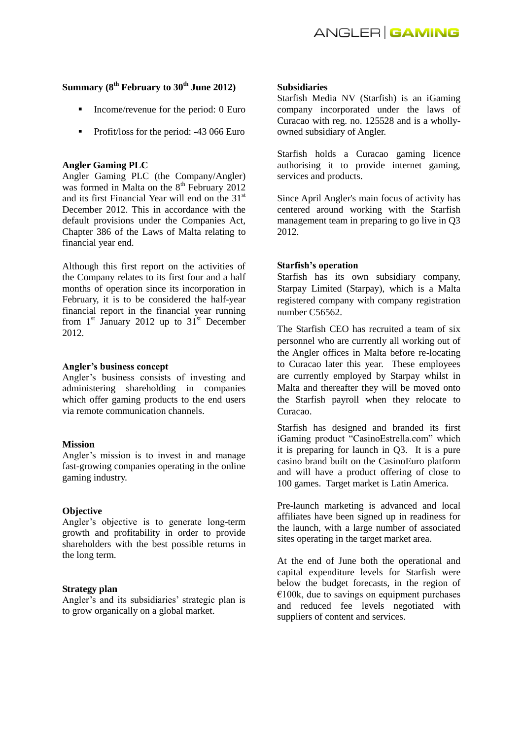## **Summary (8th February to 30th June 2012)**

- Income/revenue for the period: 0 Euro
- Profit/loss for the period: -43 066 Euro

#### **Angler Gaming PLC**

Angler Gaming PLC (the Company/Angler) was formed in Malta on the  $8<sup>th</sup>$  February 2012 and its first Financial Year will end on the 31<sup>st</sup> December 2012. This in accordance with the default provisions under the Companies Act, Chapter 386 of the Laws of Malta relating to financial year end.

Although this first report on the activities of the Company relates to its first four and a half months of operation since its incorporation in February, it is to be considered the half-year financial report in the financial year running from  $1<sup>st</sup>$  January 2012 up to  $31<sup>st</sup>$  December 2012.

#### **Angler's business concept**

Angler's business consists of investing and administering shareholding in companies which offer gaming products to the end users via remote communication channels.

#### **Mission**

Angler's mission is to invest in and manage fast-growing companies operating in the online gaming industry.

#### **Objective**

Angler's objective is to generate long-term growth and profitability in order to provide shareholders with the best possible returns in the long term.

#### **Strategy plan**

Angler's and its subsidiaries' strategic plan is to grow organically on a global market.

#### **Subsidiaries**

Starfish Media NV (Starfish) is an iGaming company incorporated under the laws of Curacao with reg. no. 125528 and is a whollyowned subsidiary of Angler.

Starfish holds a Curacao gaming licence authorising it to provide internet gaming, services and products.

Since April Angler's main focus of activity has centered around working with the Starfish management team in preparing to go live in Q3 2012.

#### **Starfish's operation**

Starfish has its own subsidiary company, Starpay Limited (Starpay), which is a Malta registered company with company registration number C56562.

The Starfish CEO has recruited a team of six personnel who are currently all working out of the Angler offices in Malta before re-locating to Curacao later this year. These employees are currently employed by Starpay whilst in Malta and thereafter they will be moved onto the Starfish payroll when they relocate to Curacao.

Starfish has designed and branded its first iGaming product "CasinoEstrella.com" which it is preparing for launch in Q3. It is a pure casino brand built on the CasinoEuro platform and will have a product offering of close to 100 games. Target market is Latin America.

Pre-launch marketing is advanced and local affiliates have been signed up in readiness for the launch, with a large number of associated sites operating in the target market area.

At the end of June both the operational and capital expenditure levels for Starfish were below the budget forecasts, in the region of  $€100k$ , due to savings on equipment purchases and reduced fee levels negotiated with suppliers of content and services.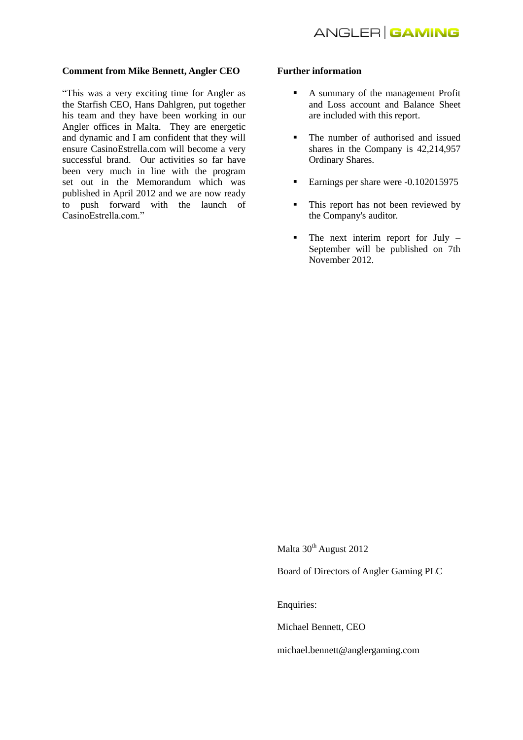#### **Comment from Mike Bennett, Angler CEO**

"This was a very exciting time for Angler as the Starfish CEO, Hans Dahlgren, put together his team and they have been working in our Angler offices in Malta. They are energetic and dynamic and I am confident that they will ensure CasinoEstrella.com will become a very successful brand. Our activities so far have been very much in line with the program set out in the Memorandum which was published in April 2012 and we are now ready to push forward with the launch of CasinoEstrella.com."

#### **Further information**

- A summary of the management Profit and Loss account and Balance Sheet are included with this report.
- The number of authorised and issued shares in the Company is 42,214,957 Ordinary Shares.
- Earnings per share were -0.102015975
- This report has not been reviewed by the Company's auditor.
- $\blacksquare$  The next interim report for July September will be published on 7th November 2012.

Malta 30<sup>th</sup> August 2012

Board of Directors of Angler Gaming PLC

Enquiries:

Michael Bennett, CEO

michael.bennett@anglergaming.com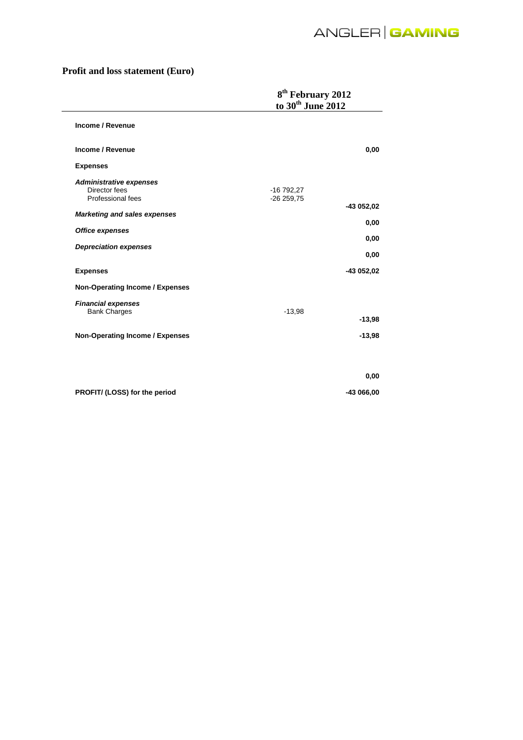# **Profit and loss statement (Euro)**

|                                                                      | 8 <sup>th</sup> February 2012<br>to 30 <sup>th</sup> June 2012 |
|----------------------------------------------------------------------|----------------------------------------------------------------|
| Income / Revenue                                                     |                                                                |
| Income / Revenue                                                     | 0,00                                                           |
| <b>Expenses</b>                                                      |                                                                |
| <b>Administrative expenses</b><br>Director fees<br>Professional fees | $-16792,27$<br>$-26259,75$                                     |
| <b>Marketing and sales expenses</b>                                  | -43 052,02                                                     |
| <b>Office expenses</b>                                               | 0,00                                                           |
| <b>Depreciation expenses</b>                                         | 0,00<br>0,00                                                   |
| <b>Expenses</b>                                                      | -43 052,02                                                     |
| <b>Non-Operating Income / Expenses</b>                               |                                                                |
| <b>Financial expenses</b><br><b>Bank Charges</b>                     | $-13,98$<br>$-13,98$                                           |
| <b>Non-Operating Income / Expenses</b>                               | $-13,98$                                                       |
|                                                                      |                                                                |
|                                                                      | 0,00                                                           |
| PROFIT/ (LOSS) for the period                                        | -43 066,00                                                     |